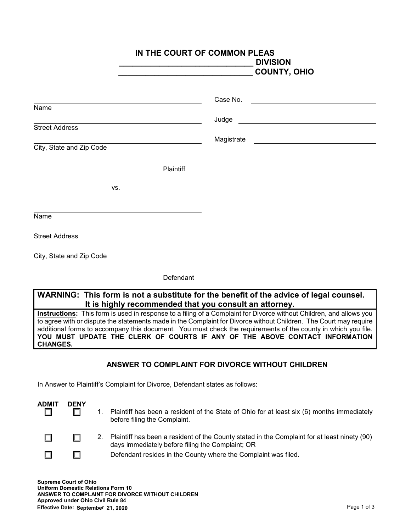|                                                   | IN THE COURT OF COMMON PLEAS<br><b>DIVISION</b><br><b>COUNTY, OHIO</b>                                                                        |
|---------------------------------------------------|-----------------------------------------------------------------------------------------------------------------------------------------------|
| Name                                              | Case No.<br><u> 1989 - Andrea Station Books, amerikansk politik (</u>                                                                         |
| <b>Street Address</b><br>City, State and Zip Code | Judge<br>Magistrate<br><u> 1989 - Jan Stern Harry Harry Harry Harry Harry Harry Harry Harry Harry Harry Harry Harry Harry Harry Harry Har</u> |
| Plaintiff                                         |                                                                                                                                               |
| VS.                                               |                                                                                                                                               |
| Name                                              |                                                                                                                                               |
| <b>Street Address</b>                             |                                                                                                                                               |
| City, State and Zip Code                          |                                                                                                                                               |

**Defendant** 

## **WARNING: This form is not a substitute for the benefit of the advice of legal counsel. It is highly recommended that you consult an attorney.**

**Instructions:** This form is used in response to a filing of a Complaint for Divorce without Children, and allows you to agree with or dispute the statements made in the Complaint for Divorce without Children. The Court may require additional forms to accompany this document. You must check the requirements of the county in which you file. YOU MUST UPDATE THE CLERK OF COURTS IF ANY OF THE ABOVE CONTACT INFORMATION **CHANGES.**

## **ANSWER TO COMPLAINT FOR DIVORCE WITHOUT CHILDREN**

In Answer to Plaintiff's Complaint for Divorce, Defendant states as follows:

| <b>ADMIT</b> | <b>DENY</b> |    | Plaintiff has been a resident of the State of Ohio for at least six (6) months immediately<br>before filing the Complaint.                       |
|--------------|-------------|----|--------------------------------------------------------------------------------------------------------------------------------------------------|
|              |             | 2. | Plaintiff has been a resident of the County stated in the Complaint for at least ninety (90)<br>days immediately before filing the Complaint; OR |
|              |             |    | Defendant resides in the County where the Complaint was filed.                                                                                   |

**Supreme Court of Ohio Uniform Domestic Relations Form 10 ANSWER TO COMPLAINT FOR DIVORCE WITHOUT CHILDREN Approved under Ohio Civil Rule 84 Effective Date: September 21, 2020**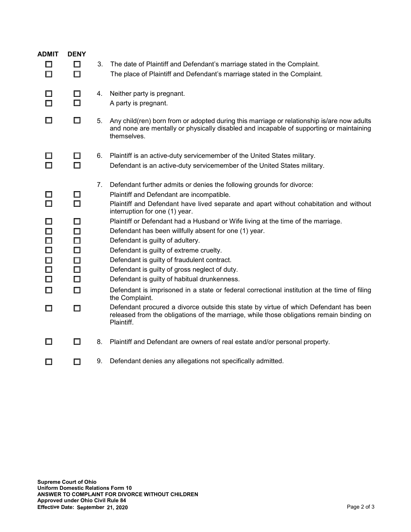| <b>ADMIT</b><br>□<br>$\Box$                                   | <b>DENY</b><br>$\Box$<br>$\Box$                               | 3. | The date of Plaintiff and Defendant's marriage stated in the Complaint.<br>The place of Plaintiff and Defendant's marriage stated in the Complaint.                                                                                                                                                                                                                                                                                                                                        |
|---------------------------------------------------------------|---------------------------------------------------------------|----|--------------------------------------------------------------------------------------------------------------------------------------------------------------------------------------------------------------------------------------------------------------------------------------------------------------------------------------------------------------------------------------------------------------------------------------------------------------------------------------------|
|                                                               | ◻<br>$\Box$                                                   | 4. | Neither party is pregnant.<br>A party is pregnant.                                                                                                                                                                                                                                                                                                                                                                                                                                         |
| □                                                             | $\Box$                                                        | 5. | Any child(ren) born from or adopted during this marriage or relationship is/are now adults<br>and none are mentally or physically disabled and incapable of supporting or maintaining<br>themselves.                                                                                                                                                                                                                                                                                       |
| $\Box$                                                        | $\Box$<br>$\Box$                                              | 6. | Plaintiff is an active-duty servicemember of the United States military.<br>Defendant is an active-duty servicemember of the United States military.                                                                                                                                                                                                                                                                                                                                       |
|                                                               | $\Box$<br>П                                                   | 7. | Defendant further admits or denies the following grounds for divorce:<br>Plaintiff and Defendant are incompatible.<br>Plaintiff and Defendant have lived separate and apart without cohabitation and without<br>interruption for one (1) year.                                                                                                                                                                                                                                             |
| □<br>$\Box$<br>$\Box$<br>$\Box$<br>□<br>$\Box$<br>□<br>$\Box$ | $\Box$<br>$\Box$<br>$\Box$<br>□<br>□<br>$\Box$<br>$\Box$<br>□ |    | Plaintiff or Defendant had a Husband or Wife living at the time of the marriage.<br>Defendant has been willfully absent for one (1) year.<br>Defendant is guilty of adultery.<br>Defendant is guilty of extreme cruelty.<br>Defendant is guilty of fraudulent contract.<br>Defendant is guilty of gross neglect of duty.<br>Defendant is guilty of habitual drunkenness.<br>Defendant is imprisoned in a state or federal correctional institution at the time of filing<br>the Complaint. |
| □                                                             | $\Box$                                                        |    | Defendant procured a divorce outside this state by virtue of which Defendant has been<br>released from the obligations of the marriage, while those obligations remain binding on<br>Plaintiff.                                                                                                                                                                                                                                                                                            |
| $\Box$                                                        | $\Box$                                                        | 8. | Plaintiff and Defendant are owners of real estate and/or personal property.                                                                                                                                                                                                                                                                                                                                                                                                                |
| $\Box$                                                        | $\Box$                                                        |    | 9. Defendant denies any allegations not specifically admitted.                                                                                                                                                                                                                                                                                                                                                                                                                             |